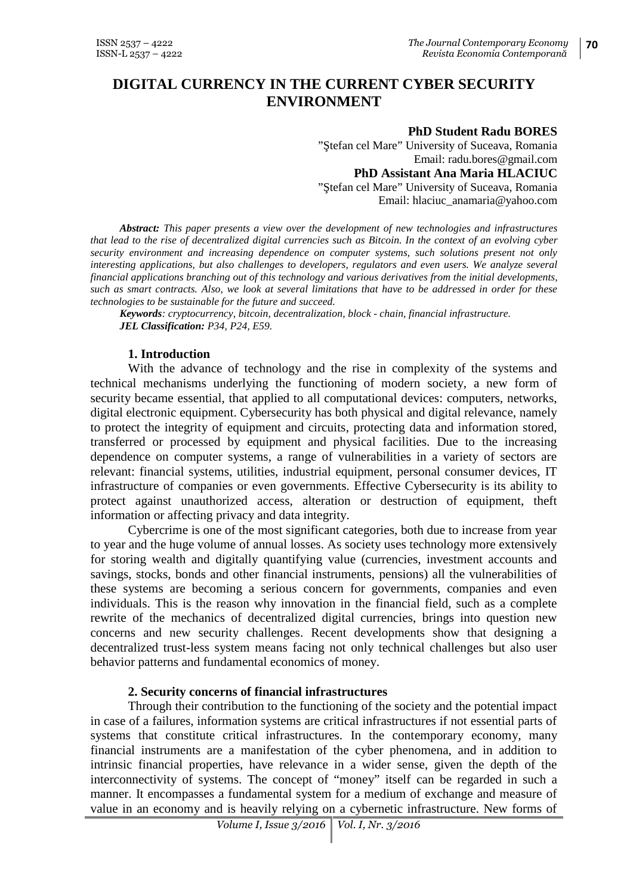# **DIGITAL CURRENCY IN THE CURRENT CYBER SECURITY ENVIRONMENT**

#### **PhD Student Radu BORES**

" tefan cel Mare" University of Suceava, Romania Email: radu.bores@gmail.com **PhD Assistant Ana Maria HLACIUC** " tefan cel Mare" University of Suceava, Romania Email: hlaciuc\_anamaria@yahoo.com

*Abstract: This paper presents a view over the development of new technologies and infrastructures that lead to the rise of decentralized digital currencies such as Bitcoin. In the context of an evolving cyber security environment and increasing dependence on computer systems, such solutions present not only interesting applications, but also challenges to developers, regulators and even users. We analyze several financial applications branching out of this technology and various derivatives from the initial developments, such as smart contracts. Also, we look at several limitations that have to be addressed in order for these technologies to be sustainable for the future and succeed.*

*Keywords: cryptocurrency, bitcoin, decentralization, block - chain, financial infrastructure. JEL Classification: P34, P24, E59.*

#### **1. Introduction**

With the advance of technology and the rise in complexity of the systems and technical mechanisms underlying the functioning of modern society, a new form of security became essential, that applied to all computational devices: computers, networks, digital electronic equipment. Cybersecurity has both physical and digital relevance, namely to protect the integrity of equipment and circuits, protecting data and information stored, transferred or processed by equipment and physical facilities. Due to the increasing dependence on computer systems, a range of vulnerabilities in a variety of sectors are relevant: financial systems, utilities, industrial equipment, personal consumer devices, IT infrastructure of companies or even governments. Effective Cybersecurity is its ability to protect against unauthorized access, alteration or destruction of equipment, theft information or affecting privacy and data integrity.

Cybercrime is one of the most significant categories, both due to increase from year to year and the huge volume of annual losses. As society uses technology more extensively for storing wealth and digitally quantifying value (currencies, investment accounts and savings, stocks, bonds and other financial instruments, pensions) all the vulnerabilities of these systems are becoming a serious concern for governments, companies and even individuals. This is the reason why innovation in the financial field, such as a complete rewrite of the mechanics of decentralized digital currencies, brings into question new concerns and new security challenges. Recent developments show that designing a decentralized trust-less system means facing not only technical challenges but also user behavior patterns and fundamental economics of money.

#### **2. Security concerns of financial infrastructures**

Through their contribution to the functioning of the society and the potential impact in case of a failures, information systems are critical infrastructures if not essential parts of systems that constitute critical infrastructures. In the contemporary economy, many financial instruments are a manifestation of the cyber phenomena, and in addition to intrinsic financial properties, have relevance in a wider sense, given the depth of the interconnectivity of systems. The concept of "money" itself can be regarded in such a manner. It encompasses a fundamental system for a medium of exchange and measure of value in an economy and is heavily relying on a cybernetic infrastructure. New forms of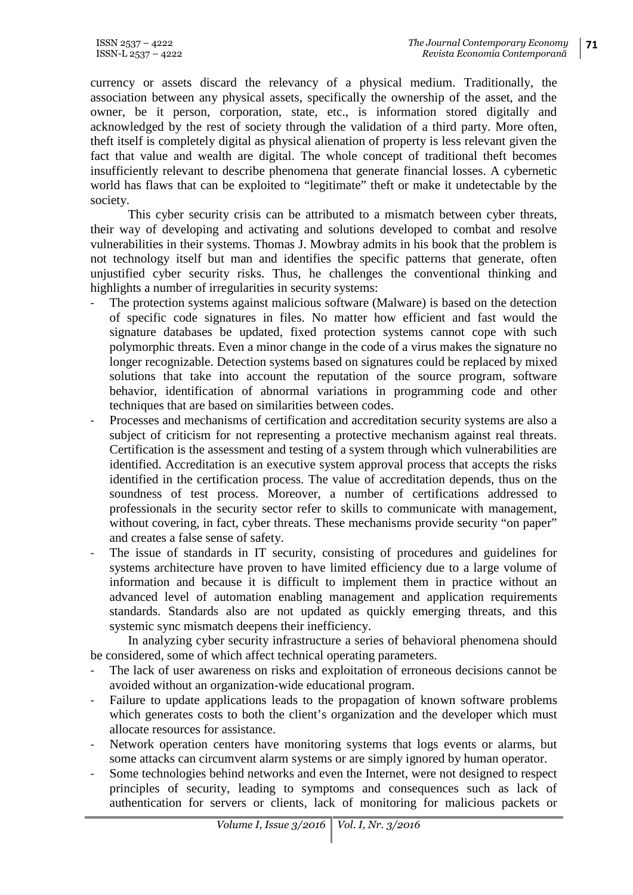currency or assets discard the relevancy of a physical medium. Traditionally, the association between any physical assets, specifically the ownership of the asset, and the owner, be it person, corporation, state, etc., is information stored digitally and acknowledged by the rest of society through the validation of a third party. More often, theft itself is completely digital as physical alienation of property is less relevant given the fact that value and wealth are digital. The whole concept of traditional theft becomes insufficiently relevant to describe phenomena that generate financial losses. A cybernetic world has flaws that can be exploited to "legitimate" theft or make it undetectable by the society.

This cyber security crisis can be attributed to a mismatch between cyber threats, their way of developing and activating and solutions developed to combat and resolve vulnerabilities in their systems. Thomas J. Mowbray admits in his book that the problem is not technology itself but man and identifies the specific patterns that generate, often unjustified cyber security risks. Thus, he challenges the conventional thinking and highlights a number of irregularities in security systems:

- The protection systems against malicious software (Malware) is based on the detection of specific code signatures in files. No matter how efficient and fast would the signature databases be updated, fixed protection systems cannot cope with such polymorphic threats. Even a minor change in the code of a virus makes the signature no longer recognizable. Detection systems based on signatures could be replaced by mixed solutions that take into account the reputation of the source program, software behavior, identification of abnormal variations in programming code and other techniques that are based on similarities between codes.
- Processes and mechanisms of certification and accreditation security systems are also a subject of criticism for not representing a protective mechanism against real threats. Certification is the assessment and testing of a system through which vulnerabilities are identified. Accreditation is an executive system approval process that accepts the risks identified in the certification process. The value of accreditation depends, thus on the soundness of test process. Moreover, a number of certifications addressed to professionals in the security sector refer to skills to communicate with management, without covering, in fact, cyber threats. These mechanisms provide security "on paper" and creates a false sense of safety.
- The issue of standards in IT security, consisting of procedures and guidelines for systems architecture have proven to have limited efficiency due to a large volume of information and because it is difficult to implement them in practice without an advanced level of automation enabling management and application requirements standards. Standards also are not updated as quickly emerging threats, and this systemic sync mismatch deepens their inefficiency.

In analyzing cyber security infrastructure a series of behavioral phenomena should be considered, some of which affect technical operating parameters.

- The lack of user awareness on risks and exploitation of erroneous decisions cannot be avoided without an organization-wide educational program.
- Failure to update applications leads to the propagation of known software problems which generates costs to both the client's organization and the developer which must allocate resources for assistance.
- Network operation centers have monitoring systems that logs events or alarms, but some attacks can circumvent alarm systems or are simply ignored by human operator.
- Some technologies behind networks and even the Internet, were not designed to respect principles of security, leading to symptoms and consequences such as lack of authentication for servers or clients, lack of monitoring for malicious packets or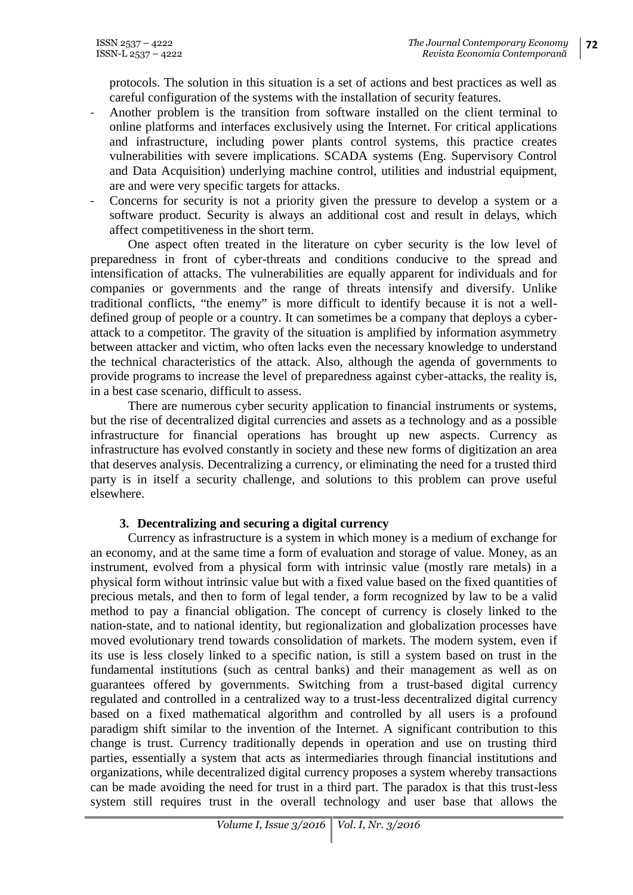protocols. The solution in this situation is a set of actions and best practices as well as careful configuration of the systems with the installation of security features.

- Another problem is the transition from software installed on the client terminal to online platforms and interfaces exclusively using the Internet. For critical applications and infrastructure, including power plants control systems, this practice creates vulnerabilities with severe implications. SCADA systems (Eng. Supervisory Control and Data Acquisition) underlying machine control, utilities and industrial equipment, are and were very specific targets for attacks.
- Concerns for security is not a priority given the pressure to develop a system or a software product. Security is always an additional cost and result in delays, which affect competitiveness in the short term.

One aspect often treated in the literature on cyber security is the low level of preparedness in front of cyber-threats and conditions conducive to the spread and intensification of attacks. The vulnerabilities are equally apparent for individuals and for companies or governments and the range of threats intensify and diversify. Unlike traditional conflicts, "the enemy" is more difficult to identify because it is not a well defined group of people or a country. It can sometimes be a company that deploys a cyber attack to a competitor. The gravity of the situation is amplified by information asymmetry between attacker and victim, who often lacks even the necessary knowledge to understand the technical characteristics of the attack. Also, although the agenda of governments to provide programs to increase the level of preparedness against cyber-attacks, the reality is, in a best case scenario, difficult to assess.

There are numerous cyber security application to financial instruments or systems, but the rise of decentralized digital currencies and assets as a technology and as a possible infrastructure for financial operations has brought up new aspects. Currency as infrastructure has evolved constantly in society and these new forms of digitization an area that deserves analysis. Decentralizing a currency, or eliminating the need for a trusted third party is in itself a security challenge, and solutions to this problem can prove useful elsewhere.

## **3. Decentralizing and securing a digital currency**

Currency as infrastructure is a system in which money is a medium of exchange for an economy, and at the same time a form of evaluation and storage of value. Money, as an instrument, evolved from a physical form with intrinsic value (mostly rare metals) in a physical form without intrinsic value but with a fixed value based on the fixed quantities of precious metals, and then to form of legal tender, a form recognized by law to be a valid method to pay a financial obligation. The concept of currency is closely linked to the nation-state, and to national identity, but regionalization and globalization processes have moved evolutionary trend towards consolidation of markets. The modern system, even if its use is less closely linked to a specific nation, is still a system based on trust in the fundamental institutions (such as central banks) and their management as well as on guarantees offered by governments. Switching from a trust-based digital currency regulated and controlled in a centralized way to a trust-less decentralized digital currency based on a fixed mathematical algorithm and controlled by all users is a profound paradigm shift similar to the invention of the Internet. A significant contribution to this change is trust. Currency traditionally depends in operation and use on trusting third parties, essentially a system that acts as intermediaries through financial institutions and organizations, while decentralized digital currency proposes a system whereby transactions can be made avoiding the need for trust in a third part. The paradox is that this trust-less system still requires trust in the overall technology and user base that allows the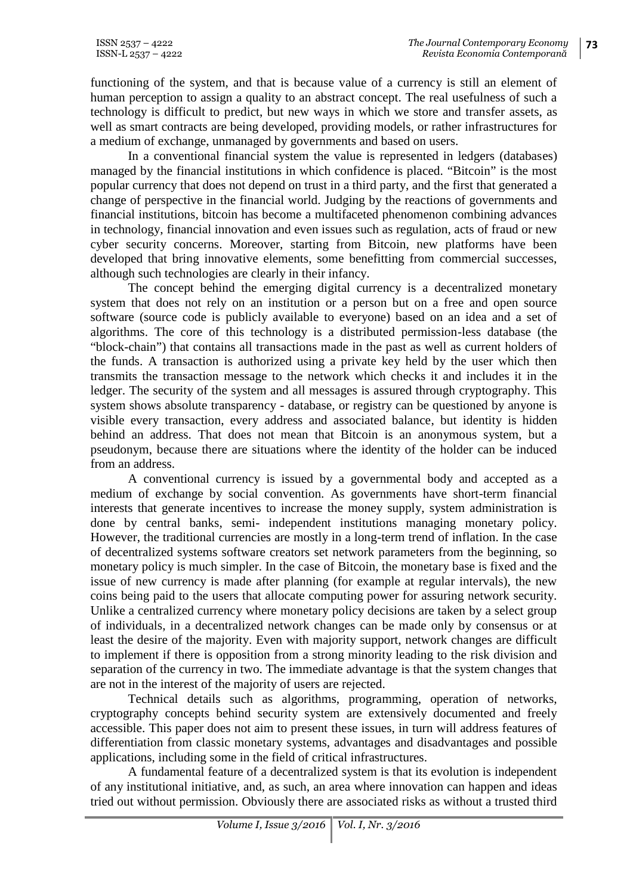functioning of the system, and that is because value of a currency is still an element of human perception to assign a quality to an abstract concept. The real usefulness of such a technology is difficult to predict, but new ways in which we store and transfer assets, as well as smart contracts are being developed, providing models, or rather infrastructures for a medium of exchange, unmanaged by governments and based on users.

In a conventional financial system the value is represented in ledgers (databases) managed by the financial institutions in which confidence is placed. "Bitcoin" is the most popular currency that does not depend on trust in a third party, and the first that generated a change of perspective in the financial world. Judging by the reactions of governments and financial institutions, bitcoin has become a multifaceted phenomenon combining advances in technology, financial innovation and even issues such as regulation, acts of fraud or new cyber security concerns. Moreover, starting from Bitcoin, new platforms have been developed that bring innovative elements, some benefitting from commercial successes, although such technologies are clearly in their infancy.

The concept behind the emerging digital currency is a decentralized monetary system that does not rely on an institution or a person but on a free and open source software (source code is publicly available to everyone) based on an idea and a set of algorithms. The core of this technology is a distributed permission-less database (the "block-chain") that contains all transactions made in the past as well as current holders of the funds. A transaction is authorized using a private key held by the user which then transmits the transaction message to the network which checks it and includes it in the ledger. The security of the system and all messages is assured through cryptography. This system shows absolute transparency - database, or registry can be questioned by anyone is visible every transaction, every address and associated balance, but identity is hidden behind an address. That does not mean that Bitcoin is an anonymous system, but a pseudonym, because there are situations where the identity of the holder can be induced from an address.

A conventional currency is issued by a governmental body and accepted as a medium of exchange by social convention. As governments have short-term financial interests that generate incentives to increase the money supply, system administration is done by central banks, semi- independent institutions managing monetary policy. However, the traditional currencies are mostly in a long-term trend of inflation. In the case of decentralized systems software creators set network parameters from the beginning, so monetary policy is much simpler. In the case of Bitcoin, the monetary base is fixed and the issue of new currency is made after planning (for example at regular intervals), the new coins being paid to the users that allocate computing power for assuring network security. Unlike a centralized currency where monetary policy decisions are taken by a select group of individuals, in a decentralized network changes can be made only by consensus or at least the desire of the majority. Even with majority support, network changes are difficult to implement if there is opposition from a strong minority leading to the risk division and separation of the currency in two. The immediate advantage is that the system changes that are not in the interest of the majority of users are rejected.

Technical details such as algorithms, programming, operation of networks, cryptography concepts behind security system are extensively documented and freely accessible. This paper does not aim to present these issues, in turn will address features of differentiation from classic monetary systems, advantages and disadvantages and possible applications, including some in the field of critical infrastructures.

A fundamental feature of a decentralized system is that its evolution is independent of any institutional initiative, and, as such, an area where innovation can happen and ideas tried out without permission. Obviously there are associated risks as without a trusted third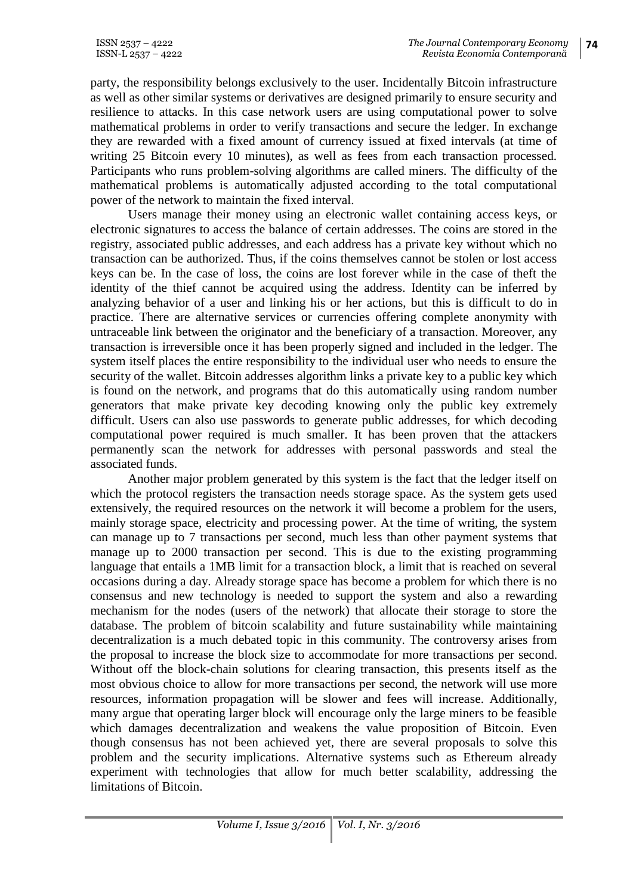party, the responsibility belongs exclusively to the user. Incidentally Bitcoin infrastructure as well as other similar systems or derivatives are designed primarily to ensure security and resilience to attacks. In this case network users are using computational power to solve mathematical problems in order to verify transactions and secure the ledger. In exchange they are rewarded with a fixed amount of currency issued at fixed intervals (at time of writing 25 Bitcoin every 10 minutes), as well as fees from each transaction processed. Participants who runs problem-solving algorithms are called miners. The difficulty of the mathematical problems is automatically adjusted according to the total computational power of the network to maintain the fixed interval.

Users manage their money using an electronic wallet containing access keys, or electronic signatures to access the balance of certain addresses. The coins are stored in the registry, associated public addresses, and each address has a private key without which no transaction can be authorized. Thus, if the coins themselves cannot be stolen or lost access keys can be. In the case of loss, the coins are lost forever while in the case of theft the identity of the thief cannot be acquired using the address. Identity can be inferred by analyzing behavior of a user and linking his or her actions, but this is difficult to do in practice. There are alternative services or currencies offering complete anonymity with untraceable link between the originator and the beneficiary of a transaction. Moreover, any transaction is irreversible once it has been properly signed and included in the ledger. The system itself places the entire responsibility to the individual user who needs to ensure the security of the wallet. Bitcoin addresses algorithm links a private key to a public key which is found on the network, and programs that do this automatically using random number generators that make private key decoding knowing only the public key extremely difficult. Users can also use passwords to generate public addresses, for which decoding computational power required is much smaller. It has been proven that the attackers permanently scan the network for addresses with personal passwords and steal the associated funds.

Another major problem generated by this system is the fact that the ledger itself on which the protocol registers the transaction needs storage space. As the system gets used extensively, the required resources on the network it will become a problem for the users, mainly storage space, electricity and processing power. At the time of writing, the system can manage up to 7 transactions per second, much less than other payment systems that manage up to 2000 transaction per second. This is due to the existing programming language that entails a 1MB limit for a transaction block, a limit that is reached on several occasions during a day. Already storage space has become a problem for which there is no consensus and new technology is needed to support the system and also a rewarding mechanism for the nodes (users of the network) that allocate their storage to store the database. The problem of bitcoin scalability and future sustainability while maintaining decentralization is a much debated topic in this community. The controversy arises from the proposal to increase the block size to accommodate for more transactions per second. Without off the block-chain solutions for clearing transaction, this presents itself as the most obvious choice to allow for more transactions per second, the network will use more resources, information propagation will be slower and fees will increase. Additionally, many argue that operating larger block will encourage only the large miners to be feasible which damages decentralization and weakens the value proposition of Bitcoin. Even though consensus has not been achieved yet, there are several proposals to solve this problem and the security implications. Alternative systems such as Ethereum already experiment with technologies that allow for much better scalability, addressing the limitations of Bitcoin.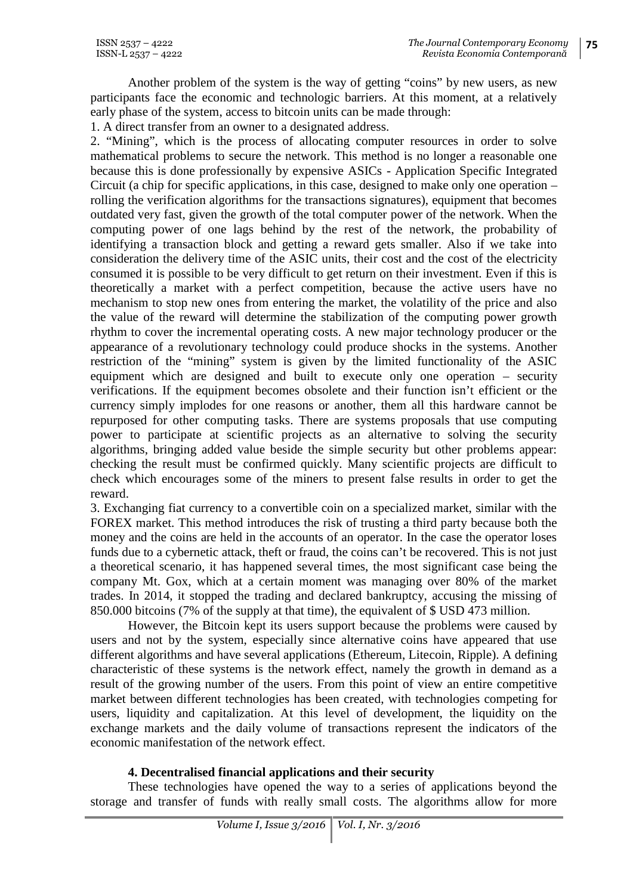Another problem of the system is the way of getting "coins" by new users, as new participants face the economic and technologic barriers. At this moment, at a relatively early phase of the system, access to bitcoin units can be made through:

1. A direct transfer from an owner to a designated address.

2. "Mining", which is the process of allocating computer resources in order to solve mathematical problems to secure the network. This method is no longer a reasonable one because this is done professionally by expensive ASICs - Application Specific Integrated Circuit (a chip for specific applications, in this case, designed to make only one operation – rolling the verification algorithms for the transactions signatures), equipment that becomes outdated very fast, given the growth of the total computer power of the network. When the computing power of one lags behind by the rest of the network, the probability of identifying a transaction block and getting a reward gets smaller. Also if we take into consideration the delivery time of the ASIC units, their cost and the cost of the electricity consumed it is possible to be very difficult to get return on their investment. Even if this is theoretically a market with a perfect competition, because the active users have no mechanism to stop new ones from entering the market, the volatility of the price and also the value of the reward will determine the stabilization of the computing power growth rhythm to cover the incremental operating costs. A new major technology producer or the appearance of a revolutionary technology could produce shocks in the systems. Another restriction of the "mining" system is given by the limited functionality of the ASIC equipment which are designed and built to execute only one operation – security verifications. If the equipment becomes obsolete and their function isn't efficient or the currency simply implodes for one reasons or another, them all this hardware cannot be repurposed for other computing tasks. There are systems proposals that use computing power to participate at scientific projects as an alternative to solving the security algorithms, bringing added value beside the simple security but other problems appear: checking the result must be confirmed quickly. Many scientific projects are difficult to check which encourages some of the miners to present false results in order to get the reward.

3. Exchanging fiat currency to a convertible coin on a specialized market, similar with the FOREX market. This method introduces the risk of trusting a third party because both the money and the coins are held in the accounts of an operator. In the case the operator loses funds due to a cybernetic attack, theft or fraud, the coins can't be recovered. This is not just a theoretical scenario, it has happened several times, the most significant case being the company Mt. Gox, which at a certain moment was managing over 80% of the market trades. In 2014, it stopped the trading and declared bankruptcy, accusing the missing of 850.000 bitcoins (7% of the supply at that time), the equivalent of \$ USD 473 million.

However, the Bitcoin kept its users support because the problems were caused by users and not by the system, especially since alternative coins have appeared that use different algorithms and have several applications (Ethereum, Litecoin, Ripple). A defining characteristic of these systems is the network effect, namely the growth in demand as a result of the growing number of the users. From this point of view an entire competitive market between different technologies has been created, with technologies competing for users, liquidity and capitalization. At this level of development, the liquidity on the exchange markets and the daily volume of transactions represent the indicators of the economic manifestation of the network effect.

## **4. Decentralised financial applications and their security**

These technologies have opened the way to a series of applications beyond the storage and transfer of funds with really small costs. The algorithms allow for more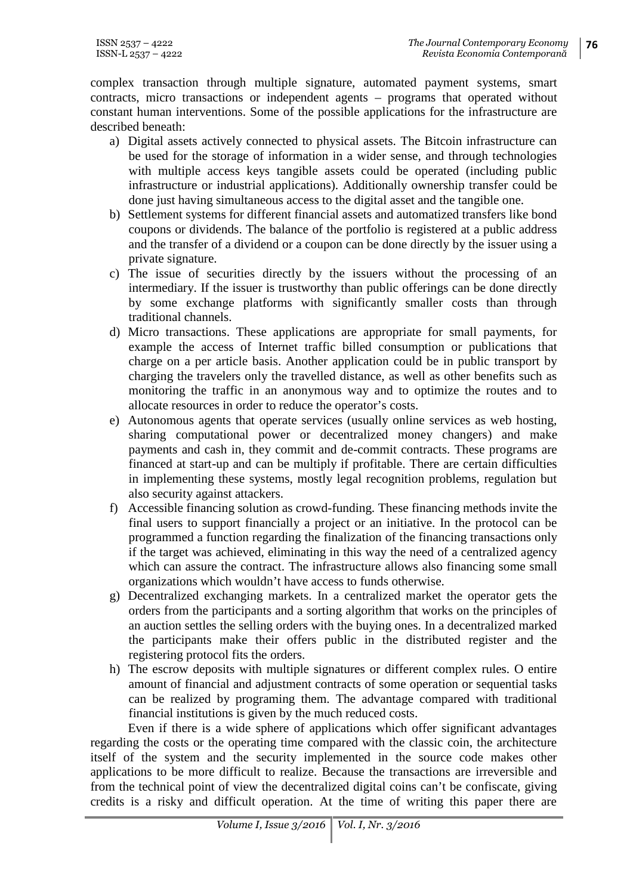complex transaction through multiple signature, automated payment systems, smart contracts, micro transactions or independent agents – programs that operated without constant human interventions. Some of the possible applications for the infrastructure are described beneath:

- a) Digital assets actively connected to physical assets. The Bitcoin infrastructure can be used for the storage of information in a wider sense, and through technologies with multiple access keys tangible assets could be operated (including public infrastructure or industrial applications). Additionally ownership transfer could be done just having simultaneous access to the digital asset and the tangible one.
- b) Settlement systems for different financial assets and automatized transfers like bond coupons or dividends. The balance of the portfolio is registered at a public address and the transfer of a dividend or a coupon can be done directly by the issuer using a private signature.
- c) The issue of securities directly by the issuers without the processing of an intermediary. If the issuer is trustworthy than public offerings can be done directly by some exchange platforms with significantly smaller costs than through traditional channels.
- d) Micro transactions. These applications are appropriate for small payments, for example the access of Internet traffic billed consumption or publications that charge on a per article basis. Another application could be in public transport by charging the travelers only the travelled distance, as well as other benefits such as monitoring the traffic in an anonymous way and to optimize the routes and to allocate resources in order to reduce the operator's costs.
- e) Autonomous agents that operate services (usually online services as web hosting, sharing computational power or decentralized money changers) and make payments and cash in, they commit and de-commit contracts. These programs are financed at start-up and can be multiply if profitable. There are certain difficulties in implementing these systems, mostly legal recognition problems, regulation but also security against attackers.
- f) Accessible financing solution as crowd-funding. These financing methods invite the final users to support financially a project or an initiative. In the protocol can be programmed a function regarding the finalization of the financing transactions only if the target was achieved, eliminating in this way the need of a centralized agency which can assure the contract. The infrastructure allows also financing some small organizations which wouldn't have access to funds otherwise.
- g) Decentralized exchanging markets. In a centralized market the operator gets the orders from the participants and a sorting algorithm that works on the principles of an auction settles the selling orders with the buying ones. In a decentralized marked the participants make their offers public in the distributed register and the registering protocol fits the orders.
- h) The escrow deposits with multiple signatures or different complex rules. O entire amount of financial and adjustment contracts of some operation or sequential tasks can be realized by programing them. The advantage compared with traditional financial institutions is given by the much reduced costs.

Even if there is a wide sphere of applications which offer significant advantages regarding the costs or the operating time compared with the classic coin, the architecture itself of the system and the security implemented in the source code makes other applications to be more difficult to realize. Because the transactions are irreversible and from the technical point of view the decentralized digital coins can't be confiscate, giving credits is a risky and difficult operation. At the time of writing this paper there are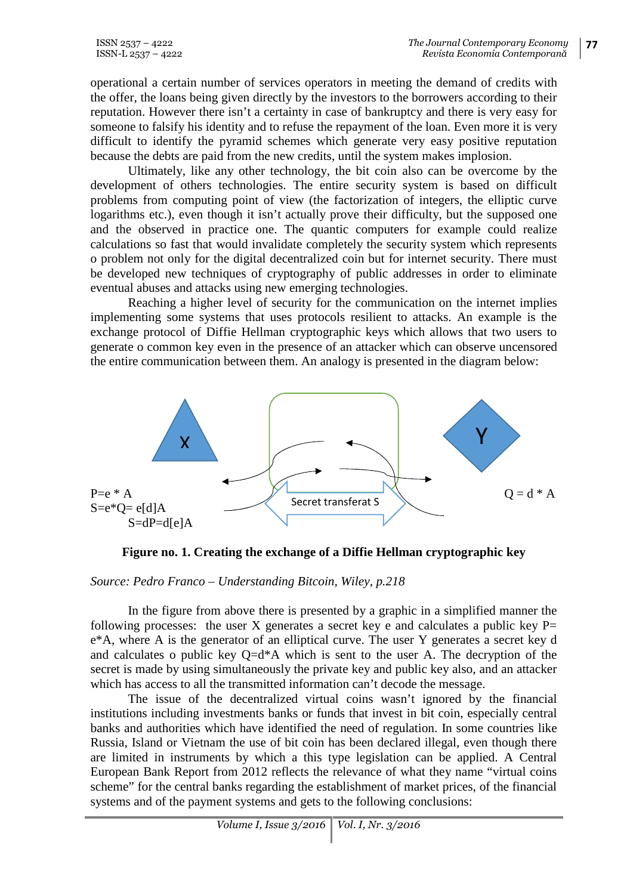operational a certain number of services operators in meeting the demand of credits with the offer, the loans being given directly by the investors to the borrowers according to their reputation. However there isn't a certainty in case of bankruptcy and there is very easy for someone to falsify his identity and to refuse the repayment of the loan. Even more it is very difficult to identify the pyramid schemes which generate very easy positive reputation because the debts are paid from the new credits, until the system makes implosion.

Ultimately, like any other technology, the bit coin also can be overcome by the development of others technologies. The entire security system is based on difficult problems from computing point of view (the factorization of integers, the elliptic curve logarithms etc.), even though it isn't actually prove their difficulty, but the supposed one and the observed in practice one. The quantic computers for example could realize calculations so fast that would invalidate completely the security system which represents o problem not only for the digital decentralized coin but for internet security. There must be developed new techniques of cryptography of public addresses in order to eliminate eventual abuses and attacks using new emerging technologies.

Reaching a higher level of security for the communication on the internet implies implementing some systems that uses protocols resilient to attacks. An example is the exchange protocol of Diffie Hellman cryptographic keys which allows that two users to generate o common key even in the presence of an attacker which can observe uncensored the entire communication between them. An analogy is presented in the diagram below:



**Figure no. 1. Creating the exchange of a Diffie Hellman cryptographic key**

*Source: Pedro Franco – Understanding Bitcoin, Wiley, p.218*

In the figure from above there is presented by a graphic in a simplified manner the following processes: the user X generates a secret key e and calculates a public key  $P=$ e\*A, where A is the generator of an elliptical curve. The user Y generates a secret key d and calculates o public key  $Q=d^*A$  which is sent to the user A. The decryption of the secret is made by using simultaneously the private key and public key also, and an attacker which has access to all the transmitted information can't decode the message.

The issue of the decentralized virtual coins wasn't ignored by the financial institutions including investments banks or funds that invest in bit coin, especially central banks and authorities which have identified the need of regulation. In some countries like Russia, Island or Vietnam the use of bit coin has been declared illegal, even though there are limited in instruments by which a this type legislation can be applied. A Central European Bank Report from 2012 reflects the relevance of what they name "virtual coins scheme" for the central banks regarding the establishment of market prices, of the financial systems and of the payment systems and gets to the following conclusions: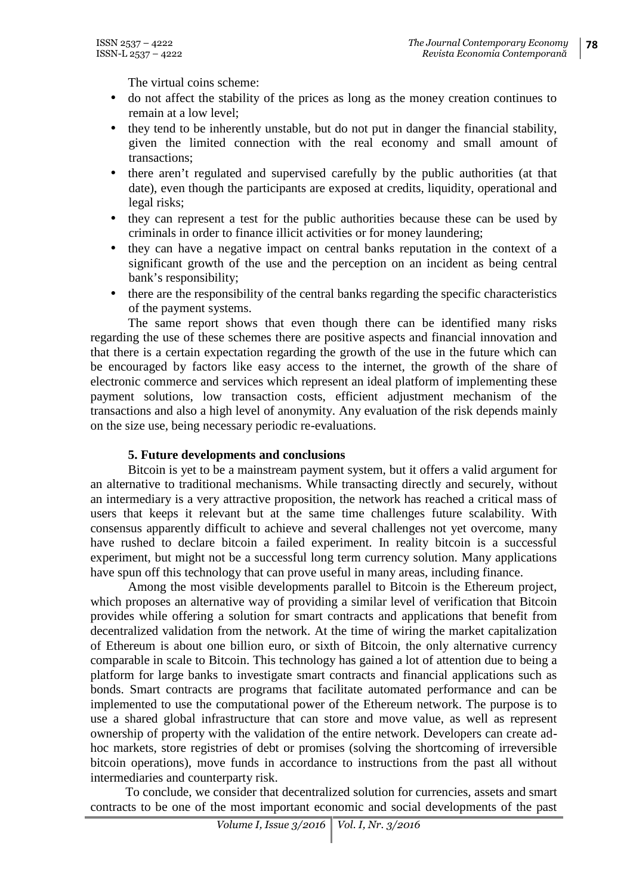The virtual coins scheme:

- do not affect the stability of the prices as long as the money creation continues to remain at a low level;
- they tend to be inherently unstable, but do not put in danger the financial stability, given the limited connection with the real economy and small amount of transactions;
- there aren't regulated and supervised carefully by the public authorities (at that date), even though the participants are exposed at credits, liquidity, operational and legal risks;
- they can represent a test for the public authorities because these can be used by criminals in order to finance illicit activities or for money laundering;
- they can have a negative impact on central banks reputation in the context of a significant growth of the use and the perception on an incident as being central bank's responsibility;
- there are the responsibility of the central banks regarding the specific characteristics of the payment systems.

The same report shows that even though there can be identified many risks regarding the use of these schemes there are positive aspects and financial innovation and that there is a certain expectation regarding the growth of the use in the future which can be encouraged by factors like easy access to the internet, the growth of the share of electronic commerce and services which represent an ideal platform of implementing these payment solutions, low transaction costs, efficient adjustment mechanism of the transactions and also a high level of anonymity. Any evaluation of the risk depends mainly on the size use, being necessary periodic re-evaluations.

## **5. Future developments and conclusions**

Bitcoin is yet to be a mainstream payment system, but it offers a valid argument for an alternative to traditional mechanisms. While transacting directly and securely, without an intermediary is a very attractive proposition, the network has reached a critical mass of users that keeps it relevant but at the same time challenges future scalability. With consensus apparently difficult to achieve and several challenges not yet overcome, many have rushed to declare bitcoin a failed experiment. In reality bitcoin is a successful experiment, but might not be a successful long term currency solution. Many applications have spun off this technology that can prove useful in many areas, including finance.

Among the most visible developments parallel to Bitcoin is the Ethereum project, which proposes an alternative way of providing a similar level of verification that Bitcoin provides while offering a solution for smart contracts and applications that benefit from decentralized validation from the network. At the time of wiring the market capitalization of Ethereum is about one billion euro, or sixth of Bitcoin, the only alternative currency comparable in scale to Bitcoin. This technology has gained a lot of attention due to being a platform for large banks to investigate smart contracts and financial applications such as bonds. Smart contracts are programs that facilitate automated performance and can be implemented to use the computational power of the Ethereum network. The purpose is to use a shared global infrastructure that can store and move value, as well as represent ownership of property with the validation of the entire network. Developers can create ad hoc markets, store registries of debt or promises (solving the shortcoming of irreversible bitcoin operations), move funds in accordance to instructions from the past all without intermediaries and counterparty risk.

To conclude, we consider that decentralized solution for currencies, assets and smart contracts to be one of the most important economic and social developments of the past